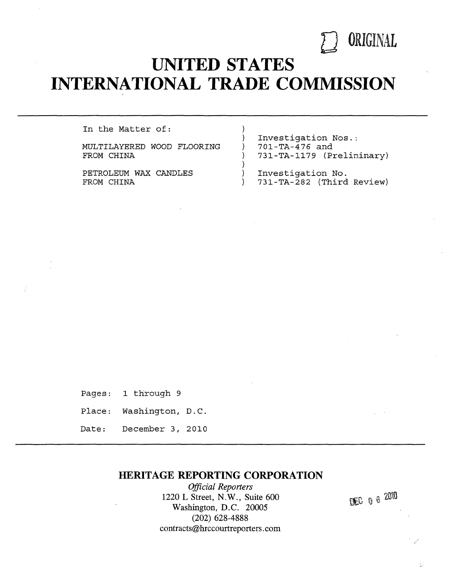

# **UNITED STATES INTERNATIONAL TRADE COMMISSION**

1

-1

)  $\mathcal{E}$ 

In the Matter of:

MULTILAYERED WOOD FLOORING FROM CHINA

PETROLEUM WAX CANDLES FROM CHINA

Investigation Nos.: 701-TA-476 and 731-TA-1179 (Preliminary)

Investigation No. 731-TA-282 (Third Review)

Pages: 1 through 9 Place: Washington, D.C. Date: December 3, 2010

### **HERITAGE REPORTING CORPORATION**

*Official Reporters*  1220 L Street, N. W., Suite 600 Washington, D.C. 20005 (202) 628-4888 contracts@hrccourtreporters.com

**DEC** 0 6 2010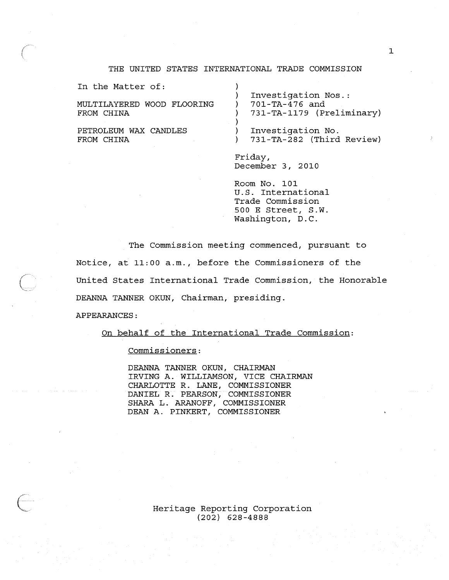#### THE UNITED STATES INTERNATIONAL TRADE COMMISSION

)

)

In the Matter of:

MULTILAYERED WOOD FLOORING FROM CHINA

PETROLEUM WAX CANDLES FROM CHINA

) Investigation Nos.: ) 701-TA-476 and ) 731-TA-1179 (Preliminary)

) Investigation No. ) 731-TA-282 (Third Review)

Friday, December 3, 2010

Room No. 101 U.S. International Trade Commission 500 E Street, S.W. Washington, D.C.

The Commission meeting commenced, pursuant to Notice, at 11:00 a.m., before the Commissioners of the United States International Trade Commission, the Honorable DEANNA TANNER OKUN, Chairman, presiding.

APPEARANCES:

On behalf of the International Trade Commission:

commissioners:

DEANNA TANNER OKUN, CHAIRMAN IRVING A. WILLIAMSON, VICE CHAIRMAN CHARLOTTE R. LANE, COMMISSIONER DANIEL R. PEARSON, COMMISSIONER SHARA L. ARANOFF, COMMISSIONER DEAN A. PINKERT, COMMISSIONER

> Heritage Reporting Corporation (202) 628-4888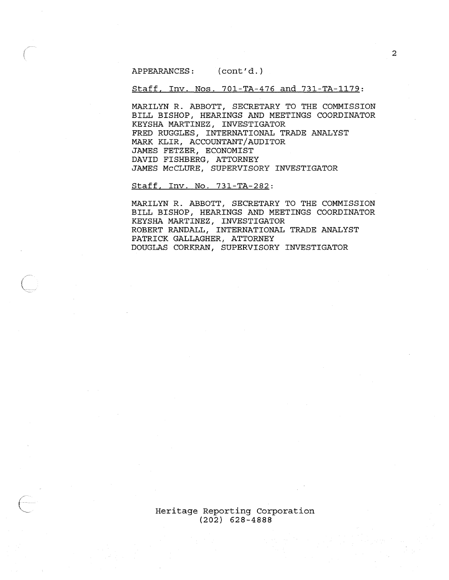APPEARANCES: (cont'd. )

Staff, Inv. Nos. 701-TA-476 and 731-TA-1179:

MARILYN R. ABBOTT, SECRETARY TO THE COMMISSION BILL BISHOP, HEARINGS AND MEETINGS COORDINATOR KEYSHA MARTINEZ, INVESTIGATOR FRED RUGGLES, INTERNATIONAL TRADE ANALYST MARK KLIR, ACCOUNTANT/AUDITOR JAMES FETZER, ECONOMIST DAVID FISHBERG, ATTORNEY JAMES McCLURE, SUPERVISORY INVESTIGATOR

Staff, Inv. No. 731-TA-282:

MARILYN R. ABBOTT, SECRETARY TO THE COMMISSION BILL BISHOP, HEARINGS AND MEETINGS COORDINATOR KEYSHA MARTINEZ, INVESTIGATOR ROBERT RANDALL, INTERNATIONAL TRADE ANALYST PATRICK GALLAGHER, ATTORNEY DOUGLAS CORKRAN, SUPERVISORY INVESTIGATOR

Heritage Reporting Corporation (202) 628-4888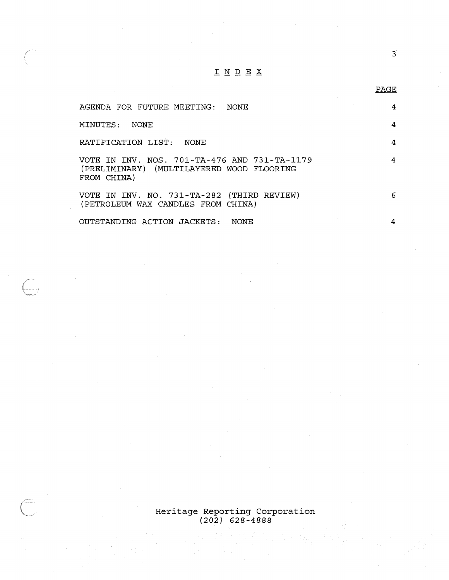## INDEX

| AGENDA FOR FUTURE MEETING:<br>NONE                                                                       |   |
|----------------------------------------------------------------------------------------------------------|---|
| MINUTES:<br>NONE.                                                                                        | 4 |
| RATIFICATION LIST: NONE                                                                                  |   |
| VOTE IN INV, NOS, 701-TA-476 AND 731-TA-1179<br>(PRELIMINARY) (MULTILAYERED WOOD FLOORING<br>FROM CHINA) |   |
| VOTE IN INV. NO. 731-TA-282 (THIRD REVIEW)<br>(PETROLEUM WAX CANDLES FROM CHINA)                         | 6 |
| OUTSTANDING ACTION JACKETS:<br>NONE                                                                      |   |

 $\mathbb{C}^2$ 

 $\overline{\mathbb{C}}$ 

Heritage Reporting Corporation (202) 628-4888

3

PAGE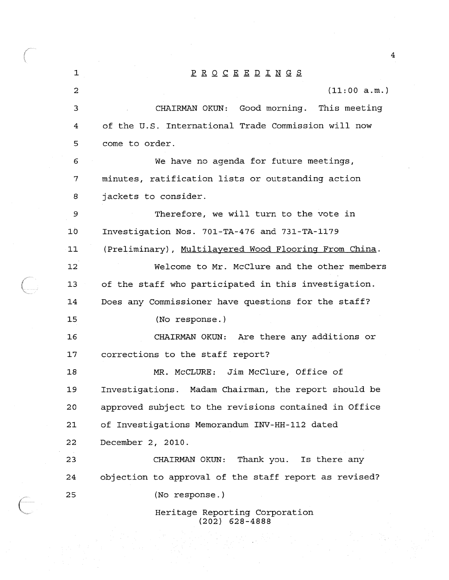1 PROCEEDINGS 2 (11:00 a.m.) 3 CHAIRMAN OKUN: Good morning. This meeting 4 of the u.s. International Trade Commission will now 5 come to order. 6 We have no agenda for future meetings, 7 minutes, ratification lists or outstanding action 8 jackets to consider. 9 Therefore, we will turn to the vote in 10 Investigation Nos. 701-TA-476 and 731-TA-1179 11 (Preliminary), Multilayered Wood Flooring From China. 12 Welcome to Mr. McClure and the other members 13 of the staff who participated in this investigation. 14 Does any Commissioner have questions for the staff? 15 (No response.) 16 CHAIRMAN OKUN: Are there any additions or 17 corrections to the staff report? 18 MR. McCLURE: Jim McClure, Office of 19 Investigations. Madam Chairman, the report should be 20 approved subject to the revisions contained in Office 21 of Investigations Memorandum INV-HH-112 dated 22 December 2, 2010. 23 CHAIRMAN OKUN: Thank you. Is there any 24 objection to approval of the staff report as revised? 25 (No response.) Heritage Reporting Corporation

(202) 628-4888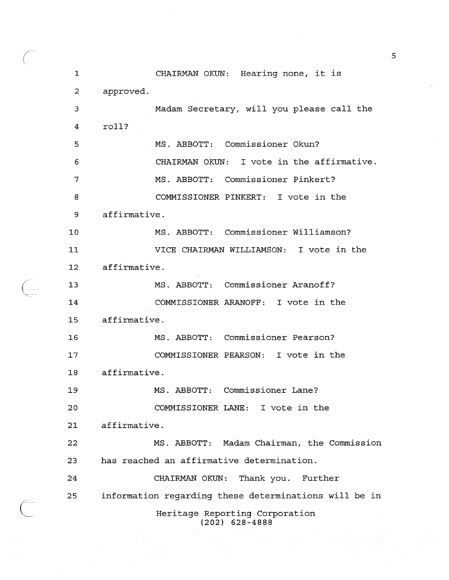| 1               | CHAIRMAN OKUN: Hearing none, it is                    |
|-----------------|-------------------------------------------------------|
| $\overline{c}$  | approved.                                             |
|                 |                                                       |
| 3               | Madam Secretary, will you please call the             |
| 4               | roll?                                                 |
| 5               | MS. ABBOTT: Commissioner Okun?                        |
| 6               | CHAIRMAN OKUN: I vote in the affirmative.             |
| 7               | MS. ABBOTT: Commissioner Pinkert?                     |
| 8               | COMMISSIONER PINKERT: I vote in the                   |
| 9               | affirmative.                                          |
| 10              | MS. ABBOTT: Commissioner Williamson?                  |
| 11              | VICE CHAIRMAN WILLIAMSON: I vote in the               |
| 12 <sub>1</sub> | affirmative.                                          |
| 13              | MS. ABBOTT: Commissioner Aranoff?                     |
| 14              | COMMISSIONER ARANOFF: I vote in the                   |
| 15              | affirmative.                                          |
| 16              | MS. ABBOTT: Commissioner Pearson?                     |
| 17              | COMMISSIONER PEARSON: I vote in the                   |
| 18              | affirmative.                                          |
| 19              | MS. ABBOTT: Commissioner Lane?                        |
| 20              | COMMISSIONER LANE: I vote in the                      |
| 21              | affirmative.                                          |
| 22              | MS. ABBOTT: Madam Chairman, the Commission            |
| 23              | has reached an affirmative determination.             |
| 24              | CHAIRMAN OKUN: Thank you. Further                     |
| 25              | information regarding these determinations will be in |
|                 | Heritage Reporting Corporation                        |

 $\bigoplus$ 

(202) 628-4888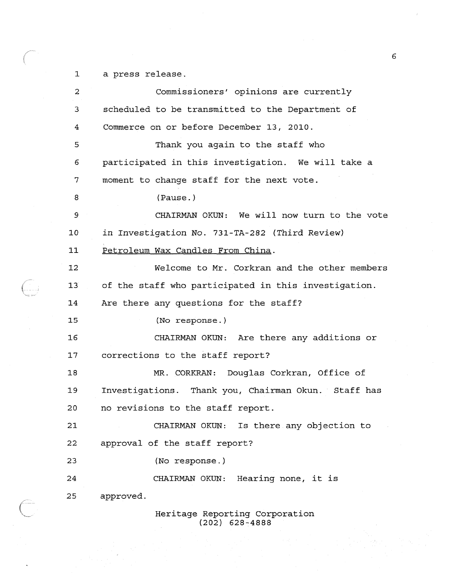1 a press release.

Ç

| $\overline{c}$ | Commissioners' opinions are currently                |
|----------------|------------------------------------------------------|
| 3              | scheduled to be transmitted to the Department of     |
| 4              | Commerce on or before December 13, 2010.             |
| 5              | Thank you again to the staff who                     |
| 6              | participated in this investigation. We will take a   |
| 7              | moment to change staff for the next vote.            |
| 8              | (Pause.)                                             |
| 9              | CHAIRMAN OKUN: We will now turn to the vote          |
| 10             | in Investigation No. 731-TA-282 (Third Review)       |
| 11             | Petroleum Wax Candles From China.                    |
| 12             | Welcome to Mr. Corkran and the other members         |
| 13             | of the staff who participated in this investigation. |
| 14             | Are there any questions for the staff?               |
| 15             | (No response.)                                       |
| 16             | CHAIRMAN OKUN: Are there any additions or            |
| 17             | corrections to the staff report?                     |
| 18             | MR. CORKRAN: Douglas Corkran, Office of              |
| 19             | Investigations. Thank you, Chairman Okun. Staff has  |
| 20             | no revisions to the staff report.                    |
| 21             | CHAIRMAN OKUN: Is there any objection to             |
| 22             | approval of the staff report?                        |
| 23             | (No response.)                                       |
| 24             | CHAIRMAN OKUN: Hearing none, it is                   |
| 25             | approved.                                            |
|                | Heritage Reporting Corporation<br>$(202)$ 628-4888   |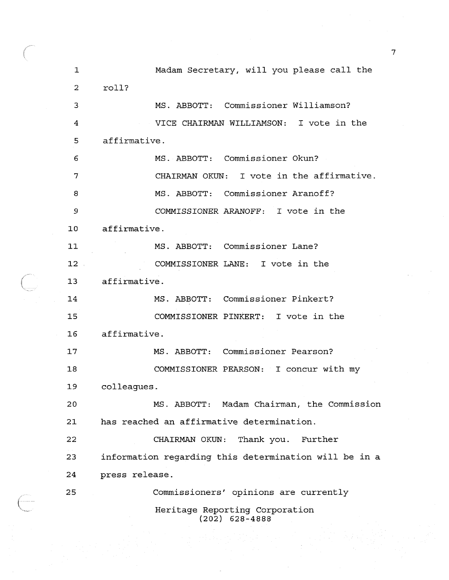| $\mathbf 1$ | Madam Secretary, will you please call the             |
|-------------|-------------------------------------------------------|
| 2           | roll?                                                 |
| 3           | MS. ABBOTT: Commissioner Williamson?                  |
| 4           | VICE CHAIRMAN WILLIAMSON: I vote in the               |
| 5           | affirmative.                                          |
| 6           | MS. ABBOTT: Commissioner Okun?                        |
| 7           | CHAIRMAN OKUN: I vote in the affirmative.             |
| 8           | MS. ABBOTT: Commissioner Aranoff?                     |
| 9           | COMMISSIONER ARANOFF: I vote in the                   |
| 10          | affirmative.                                          |
| 11          | MS. ABBOTT: Commissioner Lane?                        |
| $12$ .      | COMMISSIONER LANE: I vote in the                      |
| 13          | affirmative.                                          |
| 14          | MS. ABBOTT: Commissioner Pinkert?                     |
| 15          | COMMISSIONER PINKERT: I vote in the                   |
| 16          | affirmative.                                          |
| 17          | MS. ABBOTT: Commissioner Pearson?                     |
| 18          | COMMISSIONER PEARSON: I concur with my                |
| 19          | colleagues.                                           |
| 20          | MS. ABBOTT: Madam Chairman, the Commission            |
| 21          | has reached an affirmative determination.             |
| 22          | CHAIRMAN OKUN:<br>Thank you. Further                  |
| 23          | information regarding this determination will be in a |
| 24          | press release.                                        |
| 25          | Commissioners' opinions are currently                 |
|             | Heritage Reporting Corporation<br>$(202)$ 628-4888    |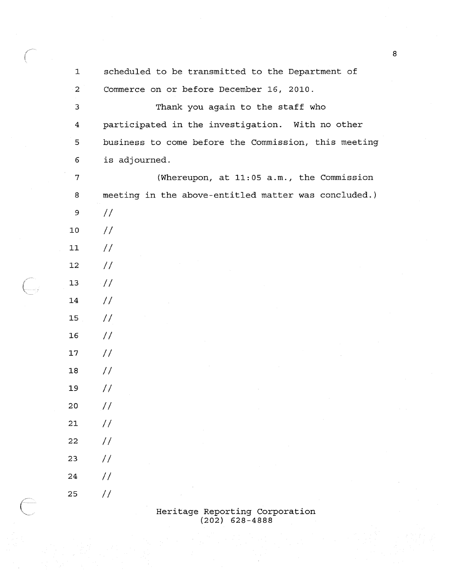| 1  | scheduled to be transmitted to the Department of     |
|----|------------------------------------------------------|
| 2  | Commerce on or before December 16, 2010.             |
| 3  | Thank you again to the staff who                     |
| 4  | participated in the investigation. With no other     |
| 5  | business to come before the Commission, this meeting |
| 6  | is adjourned.                                        |
| 7  | (Whereupon, at 11:05 a.m., the Commission            |
| 8  | meeting in the above-entitled matter was concluded.) |
| 9  | $\frac{1}{2}$                                        |
| 10 | $\frac{1}{2}$                                        |
| 11 | $\frac{1}{2}$                                        |
| 12 | $\frac{1}{2}$                                        |
| 13 | $\frac{1}{2}$                                        |
| 14 | $\frac{1}{2}$                                        |
| 15 | $\frac{1}{2}$                                        |
| 16 | $\frac{1}{2}$                                        |
| 17 | $\frac{1}{2}$                                        |
| 18 | $\frac{1}{2}$                                        |
| 19 | $\frac{1}{2}$                                        |
| 20 | $\frac{1}{2}$                                        |
| 21 | $\frac{1}{2}$                                        |
| 22 | 77                                                   |
| 23 | 77                                                   |
| 24 | //                                                   |
| 25 | $\frac{1}{2}$                                        |

 $\bigoplus$ 

O)<br>V

#### Heritage Reporting Corporation (202) 628-4888